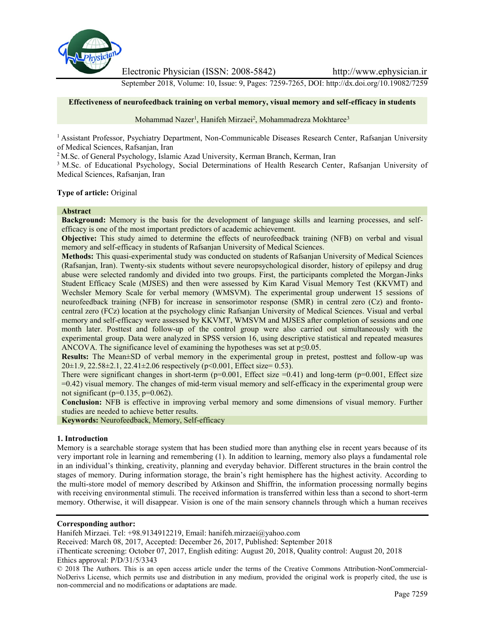

Electronic Physician (ISSN: 2008-5842) http://www.ephysician.ir

September 2018, Volume: 10, Issue: 9, Pages: 7259-7265, DOI: http://dx.doi.org/10.19082/7259

#### **Effectiveness of neurofeedback training on verbal memory, visual memory and self-efficacy in students**

Mohammad Nazer<sup>1</sup>, Hanifeh Mirzaei<sup>2</sup>, Mohammadreza Mokhtaree<sup>3</sup>

<sup>1</sup> Assistant Professor, Psychiatry Department, Non-Communicable Diseases Research Center, Rafsanjan University of Medical Sciences, Rafsanjan, Iran

<sup>2</sup> M.Sc. of General Psychology, Islamic Azad University, Kerman Branch, Kerman, Iran

<sup>3</sup> M.Sc. of Educational Psychology, Social Determinations of Health Research Center, Rafsanjan University of Medical Sciences, Rafsanjan, Iran

#### **Type of article:** Original

#### **Abstract**

**Background:** Memory is the basis for the development of language skills and learning processes, and self efficacy is one of the most important predictors of academic achievement.

**Objective:** This study aimed to determine the effects of neurofeedback training (NFB) on verbal and visual memory and self-efficacy in students of Rafsanjan University of Medical Sciences.

**Methods:** This quasi-experimental study was conducted on students of Rafsanjan University of Medical Sciences (Rafsanjan, Iran). Twenty-six students without severe neuropsychological disorder, history of epilepsy and drug abuse were selected randomly and divided into two groups. First, the participants completed the Morgan-Jinks Student Efficacy Scale (MJSES) and then were assessed by Kim Karad Visual Memory Test (KKVMT) and Wechsler Memory Scale for verbal memory (WMSVM). The experimental group underwent 15 sessions of neurofeedback training (NFB) for increase in sensorimotor response (SMR) in central zero (Cz) and fronto central zero (FCz) location at the psychology clinic Rafsanjan University of Medical Sciences. Visual and verbal memory and self-efficacy were assessed by KKVMT, WMSVM and MJSES after completion of sessions and one month later. Posttest and follow-up of the control group were also carried out simultaneously with the experimental group. Data were analyzed in SPSS version 16, using descriptive statistical and repeated measures ANCOVA. The significance level of examining the hypotheses was set at  $p \le 0.05$ .

**Results:** The Mean±SD of verbal memory in the experimental group in pretest, posttest and follow-up was  $20\pm1.9$ ,  $22.58\pm2.1$ ,  $22.41\pm2.06$  respectively (p<0.001, Effect size= 0.53).

There were significant changes in short-term ( $p=0.001$ , Effect size  $=0.41$ ) and long-term ( $p=0.001$ , Effect size =0.42) visual memory. The changes of mid-term visual memory and self-efficacy in the experimental group were not significant ( $p=0.135$ ,  $p=0.062$ ).

**Conclusion:** NFB is effective in improving verbal memory and some dimensions of visual memory. Further studies are needed to achieve better results.

**Keywords:** Neurofeedback, Memory, Self-efficacy

#### **1. Introduction**

Memory is a searchable storage system that has been studied more than anything else in recent years because of its very important role in learning and remembering (1). In addition to learning, memory also plays a fundamental role in an individual's thinking, creativity, planning and everyday behavior. Different structures in the brain control the stages of memory. During information storage, the brain's right hemisphere has the highest activity. According to the multi-store model of memory described by Atkinson and Shiffrin, the information processing normally begins with receiving environmental stimuli. The received information is transferred within less than a second to short-term memory. Otherwise, it will disappear. Vision is one of the main sensory channels through which a human receives

#### **Corresponding author:**

Hanifeh Mirzaei. Tel: +98.9134912219, Email: hanifeh.mirzaei@yahoo.com

Received: March 08, 2017, Accepted: December 26, 2017, Published: September 2018

iThenticate screening: October 07, 2017, English editing: August 20, 2018, Quality control: August 20, 2018 Ethics approval: P/D/31/5/3343

© 2018 The Authors. This is an open access article under the terms of the Creative Commons Attribution-NonCommercial- NoDerivs License, which permits use and distribution in any medium, provided the original work is properly cited, the use is non-commercial and no modifications or adaptations are made.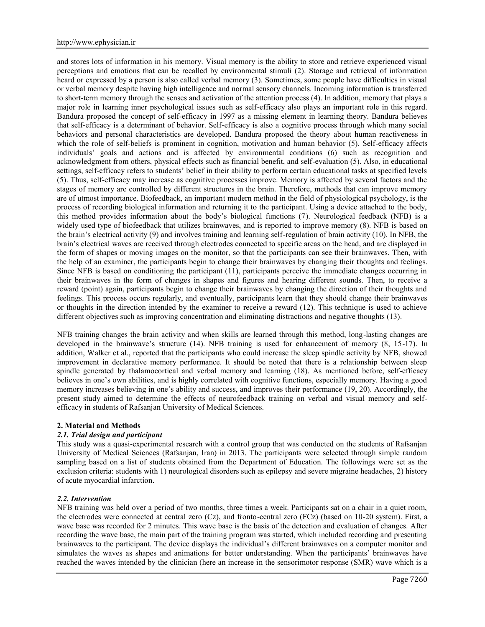and stores lots of information in his memory. Visual memory is the ability to store and retrieve experienced visual perceptions and emotions that can be recalled by environmental stimuli (2). Storage and retrieval of information heard or expressed by a person is also called verbal memory (3). Sometimes, some people have difficulties in visual or verbal memory despite having high intelligence and normal sensory channels. Incoming information is transferred to short-term memory through the senses and activation of the attention process (4). In addition, memory that plays a major role in learning inner psychological issues such as self-efficacy also plays an important role in this regard. Bandura proposed the concept of self-efficacy in 1997 as a missing element in learning theory. Bandura believes that self-efficacy is a determinant of behavior. Self-efficacy is also a cognitive process through which many social behaviors and personal characteristics are developed. Bandura proposed the theory about human reactiveness in which the role of self-beliefs is prominent in cognition, motivation and human behavior (5). Self-efficacy affects individuals' goals and actions and is affected by environmental conditions (6) such as recognition and acknowledgment from others, physical effects such as financial benefit, and self-evaluation (5). Also, in educational settings, self-efficacy refers to students' belief in their ability to perform certain educational tasks at specified levels (5). Thus, self-efficacy may increase as cognitive processes improve. Memory is affected by several factors and the stages of memory are controlled by different structures in the brain. Therefore, methods that can improve memory are of utmost importance. Biofeedback, an important modern method in the field of physiological psychology, is the process of recording biological information and returning it to the participant. Using a device attached to the body, this method provides information about the body's biological functions (7). Neurological feedback (NFB) is a widely used type of biofeedback that utilizes brainwaves, and is reported to improve memory (8). NFB is based on the brain's electrical activity (9) and involves training and learning self-regulation of brain activity (10). In NFB, the brain's electrical waves are received through electrodes connected to specific areas on the head, and are displayed in the form of shapes or moving images on the monitor, so that the participants can see their brainwaves. Then, with the help of an examiner, the participants begin to change their brainwaves by changing their thoughts and feelings. Since NFB is based on conditioning the participant (11), participants perceive the immediate changes occurring in their brainwaves in the form of changes in shapes and figures and hearing different sounds. Then, to receive a reward (point) again, participants begin to change their brainwaves by changing the direction of their thoughts and feelings. This process occurs regularly, and eventually, participants learn that they should change their brainwaves or thoughts in the direction intended by the examiner to receive a reward (12). This technique is used to achieve different objectives such as improving concentration and eliminating distractions and negative thoughts (13).

NFB training changes the brain activity and when skills are learned through this method, long-lasting changes are developed in the brainwave's structure (14). NFB training is used for enhancement of memory (8, 15-17). In addition, Walker et al., reported that the participants who could increase the sleep spindle activity by NFB, showed improvement in declarative memory performance. It should be noted that there is a relationship between sleep spindle generated by thalamocortical and verbal memory and learning (18). As mentioned before, self-efficacy believes in one's own abilities, and is highly correlated with cognitive functions, especially memory. Having a good memory increases believing in one's ability and success, and improves their performance (19, 20). Accordingly, the present study aimed to determine the effects of neurofeedback training on verbal and visual memory and self efficacy in students of Rafsanjan University of Medical Sciences.

## **2. Material and Methods**

## *2.1. Trial design and participant*

This study was a quasi-experimental research with a control group that was conducted on the students of Rafsanjan University of Medical Sciences (Rafsanjan, Iran) in 2013. The participants were selected through simple random sampling based on a list of students obtained from the Department of Education. The followings were set as the exclusion criteria: students with 1) neurological disorders such as epilepsy and severe migraine headaches, 2) history of acute myocardial infarction.

## *2.2. Intervention*

NFB training was held over a period of two months, three times a week. Participants sat on a chair in a quiet room, the electrodes were connected at central zero  $(Cz)$ , and fronto-central zero  $(FCz)$  (based on 10-20 system). First, a wave base was recorded for 2 minutes. This wave base is the basis of the detection and evaluation of changes. After recording the wave base, the main part of the training program was started, which included recording and presenting brainwaves to the participant. The device displays the individual's different brainwaves on a computer monitor and simulates the waves as shapes and animations for better understanding. When the participants' brainwaves have reached the waves intended by the clinician (here an increase in the sensorimotor response (SMR) wave which is a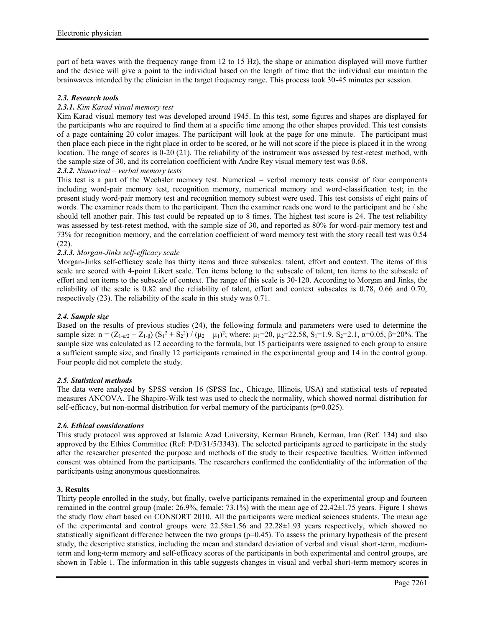part of beta waves with the frequency range from 12 to 15 Hz), the shape or animation displayed will move further and the device will give a point to the individual based on the length of time that the individual can maintain the brainwaves intended by the clinician in the target frequency range. This process took 30-45 minutes per session.

## *2.3. Research tools*

## *2.3.1. Kim Karad visual memory test*

Kim Karad visual memory test was developed around 1945. In this test, some figures and shapes are displayed for the participants who are required to find them at a specific time among the other shapes provided. This test consists of a page containing 20 color images. The participant will look at the page for one minute. The participant must then place each piece in the right place in order to be scored, or he will not score if the piece is placed it in the wrong location. The range of scores is 0-20 (21). The reliability of the instrument was assessed by test-retest method, with the sample size of 30, and its correlation coefficient with Andre Rey visual memory test was 0.68.

## *2.3.2. Numerical – verbal memory tests*

This test is a part of the Wechsler memory test. Numerical – verbal memory tests consist of four components including word-pair memory test, recognition memory, numerical memory and word-classification test; in the present study word-pair memory test and recognition memory subtest were used. This test consists of eight pairs of words. The examiner reads them to the participant. Then the examiner reads one word to the participant and he / she should tell another pair. This test could be repeated up to 8 times. The highest test score is 24. The test reliability was assessed by test-retest method, with the sample size of 30, and reported as 80% for word-pair memory test and 73% for recognition memory, and the correlation coefficient of word memory test with the story recall test was 0.54 (22).

# *2.3.3. Morgan-Jinks self-efficacy scale*

Morgan-Jinks self-efficacy scale has thirty items and three subscales: talent, effort and context. The items of this scale are scored with 4-point Likert scale. Ten items belong to the subscale of talent, ten items to the subscale of effort and ten items to the subscale of context. The range of this scale is 30-120. According to Morgan and Jinks, the reliability of the scale is 0.82 and the reliability of talent, effort and context subscales is 0.78, 0.66 and 0.70, respectively (23). The reliability of the scale in this study was 0.71.

## *2.4. Sample size*

Based on the results of previous studies (24), the following formula and parameters were used to determine the sample size:  $n = (Z_{1-\alpha/2} + Z_{1-\beta}) (S_1^2 + S_2^2) / (\mu_2 - \mu_1)^2$ ; where:  $\mu_1 = 20$ ,  $\mu_2 = 22.58$ ,  $S_1 = 1.9$ ,  $S_2 = 2.1$ ,  $\alpha = 0.05$ ,  $\beta = 20\%$ . The sample size was calculated as 12 according to the formula, but 15 participants were assigned to each group to ensure a sufficient sample size, and finally 12 participants remained in the experimental group and 14 in the control group. Four people did not complete the study.

## *2.5. Statistical methods*

The data were analyzed by SPSS version 16 (SPSS Inc., Chicago, Illinois, USA) and statistical tests of repeated measures ANCOVA. The Shapiro-Wilk test was used to check the normality, which showed normal distribution for self-efficacy, but non-normal distribution for verbal memory of the participants (p=0.025).

## *2.6. Ethical considerations*

This study protocol was approved at Islamic Azad University, Kerman Branch, Kerman, Iran (Ref: 134) and also approved by the Ethics Committee (Ref: P/D/31/5/3343). The selected participants agreed to participate in the study after the researcher presented the purpose and methods of the study to their respective faculties. Written informed consent was obtained from the participants. The researchers confirmed the confidentiality of the information of the participants using anonymous questionnaires.

## **3. Results**

Thirty people enrolled in the study, but finally, twelve participants remained in the experimental group and fourteen remained in the control group (male: 26.9%, female: 73.1%) with the mean age of 22.42±1.75 years. Figure 1 shows the study flow chart based on CONSORT 2010. All the participants were medical sciences students. The mean age of the experimental and control groups were  $22.58\pm1.56$  and  $22.28\pm1.93$  years respectively, which showed no statistically significant difference between the two groups  $(p=0.45)$ . To assess the primary hypothesis of the present study, the descriptive statistics, including the mean and standard deviation of verbal and visual short-term, mediumterm and long-term memory and self-efficacy scores of the participants in both experimental and control groups, are shown in Table 1. The information in this table suggests changes in visual and verbal short-term memory scores in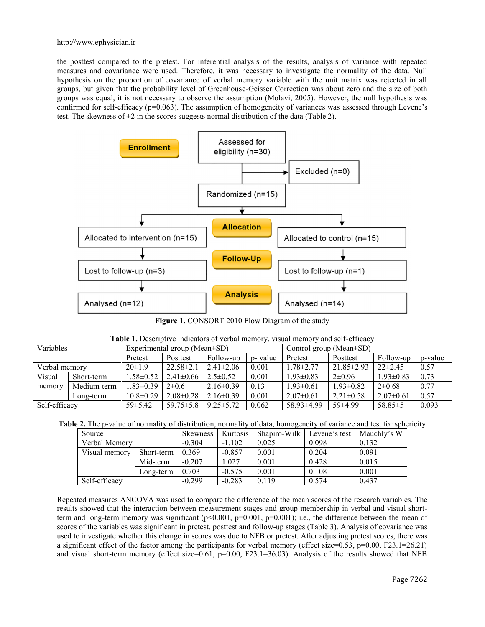the posttest compared to the pretest. For inferential analysis of the results, analysis of variance with repeated measures and covariance were used. Therefore, it was necessary to investigate the normality of the data. Null hypothesis on the proportion of covariance of verbal memory variable with the unit matrix was rejected in all groups, but given that the probability level of Greenhouse-Geisser Correction was about zero and the size of both groups was equal, it is not necessary to observe the assumption (Molavi, 2005). However, the null hypothesis was confirmed for self-efficacy (p=0.063). The assumption of homogeneity of variances was assessed through Levene's test. The skewness of  $\pm 2$  in the scores suggests normal distribution of the data (Table 2).



**Figure 1.** CONSORT 2010 Flow Diagram of the study

| <b>Variables</b> |             |                 | Experimental group (Mean±SD) |                 |          |                 | Control group (Mean $\pm$ SD)                  |                 |         |  |  |
|------------------|-------------|-----------------|------------------------------|-----------------|----------|-----------------|------------------------------------------------|-----------------|---------|--|--|
|                  |             | Pretest         | Posttest                     | Follow-up       | p- value | Pretest         | Posttest<br>$21.85 \pm 2.93$<br>$.78 \pm 2.77$ |                 | p-value |  |  |
| Verbal memory    |             | $20 \pm 1.9$    | $22.58 \pm 2.1$              | $2.41 \pm 2.06$ | 0.001    |                 |                                                | $22\pm2.45$     | 0.57    |  |  |
| Visual           | Short-term  | 1.58±0.52       | $2.41 \pm 0.66$              | $2.5 \pm 0.52$  | 0.001    | $1.93 \pm 0.83$ | $2\pm 0.96$                                    | $1.93 \pm 0.83$ | 0.73    |  |  |
| memory           | Medium-term | $1.83 \pm 0.39$ | $2\pm 0.6$                   | $2.16\pm0.39$   | 0.13     | $1.93 \pm 0.61$ | $1.93 \pm 0.82$                                | $2 \pm 0.68$    | 0.77    |  |  |
|                  | Long-term   | $10.8 \pm 0.29$ | $2.08 \pm 0.28$              | $2.16\pm0.39$   | 0.001    | $2.07\pm0.61$   | $2.21 \pm 0.58$                                | $2.07 \pm 0.61$ | 0.57    |  |  |
| Self-efficacy    |             | $59 \pm 5.42$   | $59.75 \pm 5.8$              | $9.25 \pm 5.72$ | 0.062    | 58.93±4.99      | $59\pm4.99$                                    | $58.85 \pm 5$   | 0.093   |  |  |

|  | <b>Table 1.</b> Descriptive indicators of verbal memory, visual memory and self-efficacy |  |  |
|--|------------------------------------------------------------------------------------------|--|--|
|  |                                                                                          |  |  |

|  | Table 2. The p-value of normality of distribution, normality of data, homogeneity of variance and test for sphericity |  |  |  |  |  |
|--|-----------------------------------------------------------------------------------------------------------------------|--|--|--|--|--|
|--|-----------------------------------------------------------------------------------------------------------------------|--|--|--|--|--|

| Source        |            | <b>Skewness</b> | Kurtosis | Shapiro-Wilk | Levene's test | Mauchly's W |
|---------------|------------|-----------------|----------|--------------|---------------|-------------|
|               |            |                 |          |              |               |             |
| Verbal Memory | $-0.304$   | $-1.102$        | 0.025    | 0.098        | 0.132         |             |
| Visual memory | Short-term | 0.369           | $-0.857$ | 0.001        | 0.204         | 0.091       |
|               | Mid-term   | $-0.207$        | 0.027    | 0.001        | 0.428         | 0.015       |
|               | Long-term  | 0.703           | $-0.575$ | 0.001        | 0.108         | 0.001       |
| Self-efficacy |            | $-0.299$        | $-0.283$ | 0.119        | 0.574         | 0.437       |

Repeated measures ANCOVA was used to compare the difference of the mean scores of the research variables. The results showed that the interaction between measurement stages and group membership in verbal and visual shortterm and long-term memory was significant ( $p<0.001$ ,  $p=0.001$ ,  $p=0.001$ ); i.e., the difference between the mean of scores of the variables was significant in pretest, posttest and follow-up stages (Table 3). Analysis of covariance was used to investigate whether this change in scores was due to NFB or pretest. After adjusting pretest scores, there was a significant effect of the factor among the participants for verbal memory (effect size=0.53, p=0.00, F23.1=26.21) and visual short-term memory (effect size=0.61, p=0.00, F23.1=36.03). Analysis of the results showed that NFB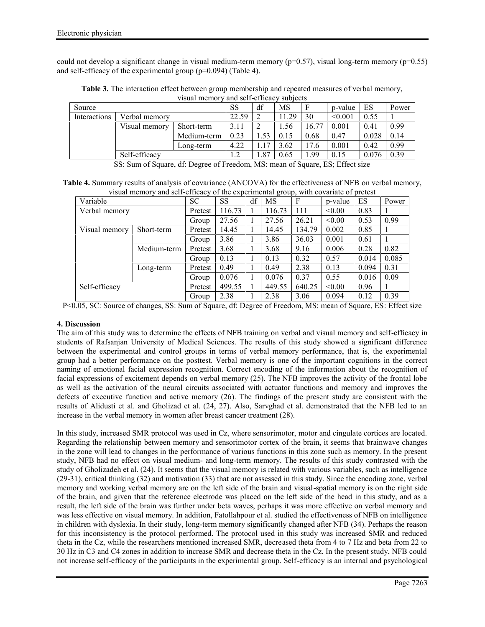could not develop a significant change in visual medium-term memory ( $p=0.57$ ), visual long-term memory ( $p=0.55$ ) and self-efficacy of the experimental group (p=0.094) (Table 4).

|              |               | , 1944 111011101 | and sen empha |      | <u>uuu issuu</u> |       |         |       |       |
|--------------|---------------|------------------|---------------|------|------------------|-------|---------|-------|-------|
| Source       |               |                  | SS            | df   | <b>MS</b>        |       | p-value | ES    | Power |
| Interactions | Verbal memory |                  | 22.59         |      | 1.29             | 30    | < 0.001 | 0.55  |       |
|              | Visual memory | Short-term       | 3.11          |      | . . 56           | 16.77 | 0.001   | 0.41  | 0.99  |
|              |               | Medium-term      | 0.23          | .53  | 0.15             | 0.68  | 0.47    | 0.028 | 0.14  |
|              |               | Long-term        | 4.22          | 17   | 3.62             | 17.6  | 0.001   | 0.42  | 0.99  |
|              | Self-efficacy |                  | 1.2           | 1.87 | 0.65             | 1.99  | 0.15    | 0.076 | 0.39  |

**Table 3.** The interaction effect between group membership and repeated measures of verbal memory, visual memory and self-efficacy subjects

SS: Sum of Square, df: Degree of Freedom, MS: mean of Square, ES; Effect size

**Table 4.** Summary results of analysis of covariance (ANCOVA) for the effectiveness of NFB on verbal memory, visual memory and self-efficacy of the experimental group, with covariate of pretest

|               |             |           |           |    | ັ         |        |         |       |       |
|---------------|-------------|-----------|-----------|----|-----------|--------|---------|-------|-------|
| Variable      |             | <b>SC</b> | <b>SS</b> | df | <b>MS</b> | F      | p-value | ES    | Power |
| Verbal memory |             | Pretest   | 116.73    |    | 116.73    | 111    | < 0.00  | 0.83  |       |
|               |             | Group     | 27.56     |    | 27.56     | 26.21  | < 0.00  | 0.53  | 0.99  |
| Visual memory | Short-term  | Pretest   | 14.45     |    | 14.45     | 134.79 | 0.002   | 0.85  |       |
|               |             | Group     | 3.86      |    | 3.86      | 36.03  | 0.001   | 0.61  |       |
|               | Medium-term | Pretest   | 3.68      |    | 3.68      | 9.16   | 0.006   | 0.28  | 0.82  |
|               |             | Group     | 0.13      |    | 0.13      | 0.32   | 0.57    | 0.014 | 0.085 |
|               | Long-term   | Pretest   | 0.49      |    | 0.49      | 2.38   | 0.13    | 0.094 | 0.31  |
|               |             | Group     | 0.076     |    | 0.076     | 0.37   | 0.55    | 0.016 | 0.09  |
| Self-efficacy |             | Pretest   | 499.55    |    | 449.55    | 640.25 | < 0.00  | 0.96  |       |
|               |             | Group     | 2.38      |    | 2.38      | 3.06   | 0.094   | 0.12  | 0.39  |

P<0.05, SC: Source of changes, SS: Sum of Square, df: Degree of Freedom, MS: mean of Square, ES: Effect size

## **4. Discussion**

The aim of this study was to determine the effects of NFB training on verbal and visual memory and self-efficacy in students of Rafsanjan University of Medical Sciences. The results of this study showed a significant difference between the experimental and control groups in terms of verbal memory performance, that is, the experimental group had a better performance on the posttest. Verbal memory is one of the important cognitions in the correct naming of emotional facial expression recognition. Correct encoding of the information about the recognition of facial expressions of excitement depends on verbal memory (25). The NFB improves the activity of the frontal lobe as well as the activation of the neural circuits associated with actuator functions and memory and improves the defects of executive function and active memory (26). The findings of the present study are consistent with the results of Alidusti et al. and Gholizad et al. (24, 27). Also, Sarvghad et al. demonstrated that the NFB led to an increase in the verbal memory in women after breast cancer treatment (28).

In this study, increased SMR protocol was used in Cz, where sensorimotor, motor and cingulate cortices are located. Regarding the relationship between memory and sensorimotor cortex of the brain, it seems that brainwave changes in the zone will lead to changes in the performance of various functions in this zone such as memory. In the present study, NFB had no effect on visual medium- and long-term memory. The results of this study contrasted with the study of Gholizadeh et al. (24). It seems that the visual memory is related with various variables, such as intelligence (29-31), critical thinking (32) and motivation (33) that are not assessed in this study. Since the encoding zone, verbal memory and working verbal memory are on the left side of the brain and visual-spatial memory is on the right side of the brain, and given that the reference electrode was placed on the left side of the head in this study, and as a result, the left side of the brain was further under beta waves, perhaps it was more effective on verbal memory and was less effective on visual memory. In addition, Fatollahpour et al. studied the effectiveness of NFB on intelligence in children with dyslexia. In their study, long-term memory significantly changed after NFB (34). Perhaps the reason for this inconsistency is the protocol performed. The protocol used in this study was increased SMR and reduced theta in the Cz, while the researchers mentioned increased SMR, decreased theta from 4 to 7 Hz and beta from 22 to 30 Hz in C3 and C4 zones in addition to increase SMR and decrease theta in the Cz. In the present study, NFB could not increase self-efficacy of the participants in the experimental group. Self-efficacy is an internal and psychological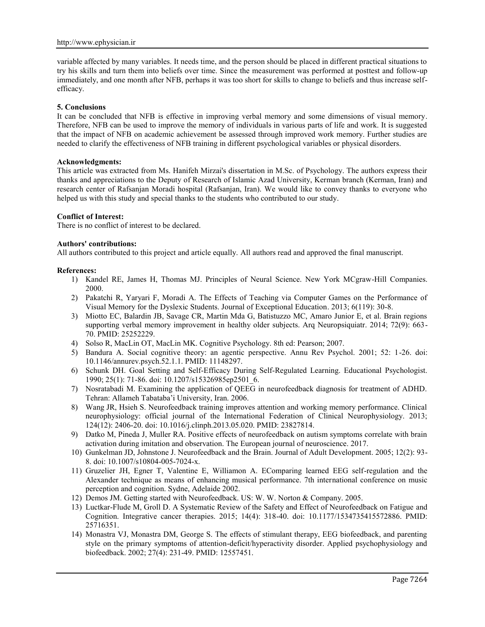variable affected by many variables. It needs time, and the person should be placed in different practical situations to try his skills and turn them into beliefs over time. Since the measurement was performed at posttest and follow-up immediately, and one month after NFB, perhaps it was too short for skills to change to beliefs and thus increase self efficacy.

#### **5. Conclusions**

It can be concluded that NFB is effective in improving verbal memory and some dimensions of visual memory. Therefore, NFB can be used to improve the memory of individuals in various parts of life and work. It is suggested that the impact of NFB on academic achievement be assessed through improved work memory. Further studies are needed to clarify the effectiveness of NFB training in different psychological variables or physical disorders.

#### **Acknowledgments:**

This article was extracted from Ms. Hanifeh Mirzai's dissertation in M.Sc. of Psychology. The authors express their thanks and appreciations to the Deputy of Research of Islamic Azad University, Kerman branch (Kerman, Iran) and research center of Rafsanjan Moradi hospital (Rafsanjan, Iran). We would like to convey thanks to everyone who helped us with this study and special thanks to the students who contributed to our study.

#### **Conflict of Interest:**

There is no conflict of interest to be declared.

#### **Authors' contributions:**

All authors contributed to this project and article equally. All authors read and approved the final manuscript.

#### **References:**

- 1) Kandel RE, James H, Thomas MJ. Principles of Neural Science. New York MCgraw-Hill Companies. 2000.
- 2) Pakatchi R, Yaryari F, Moradi A. The Effects of Teaching via Computer Games on the Performance of Visual Memory for the Dyslexic Students. Journal of Exceptional Education. 2013; 6(119): 30-8.
- 3) Miotto EC, Balardin JB, Savage CR, Martin Mda G, Batistuzzo MC, Amaro Junior E, et al. Brain regions supporting verbal memory improvement in healthy older subjects. Arq Neuropsiquiatr. 2014; 72(9): 663- 70. PMID: 25252229.
- 4) Solso R, MacLin OT, MacLin MK. Cognitive Psychology. 8th ed: Pearson; 2007.
- 5) Bandura A. Social cognitive theory: an agentic perspective. Annu Rev Psychol. 2001; 52: 1-26. doi: 10.1146/annurev.psych.52.1.1. PMID: 11148297.
- 6) Schunk DH. Goal Setting and Self-Efficacy During Self-Regulated Learning. Educational Psychologist. 1990; 25(1): 71-86. doi: 10.1207/s15326985ep2501\_6.
- 7) Nosratabadi M. Examining the application of QEEG in neurofeedback diagnosis for treatment of ADHD. Tehran: Allameh Tabataba'i University, Iran. 2006.
- 8) Wang JR, Hsieh S. Neurofeedback training improves attention and working memory performance. Clinical neurophysiology: official journal of the International Federation of Clinical Neurophysiology. 2013; 124(12): 2406-20. doi: 10.1016/j.clinph.2013.05.020. PMID: 23827814.
- 9) Datko M, Pineda J, Muller RA. Positive effects of neurofeedback on autism symptoms correlate with brain activation during imitation and observation. The European journal of neuroscience. 2017.
- 10) Gunkelman JD, Johnstone J. Neurofeedback and the Brain. Journal of Adult Development. 2005; 12(2): 93- 8. doi: 10.1007/s10804-005-7024-x.
- 11) Gruzelier JH, Egner T, Valentine E, Williamon A. EComparing learned EEG self-regulation and the Alexander technique as means of enhancing musical performance. 7th international conference on music perception and cognition. Sydne, Adelaide 2002.
- 12) Demos JM. Getting started with Neurofeedback. US: W. W. Norton & Company. 2005.
- 13) Luctkar-Flude M, Groll D. A Systematic Review of the Safety and Effect of Neurofeedback on Fatigue and Cognition. Integrative cancer therapies. 2015; 14(4): 318-40. doi: 10.1177/1534735415572886. PMID: 25716351.
- 14) Monastra VJ, Monastra DM, George S. The effects of stimulant therapy, EEG biofeedback, and parenting style on the primary symptoms of attention-deficit/hyperactivity disorder. Applied psychophysiology and biofeedback. 2002; 27(4): 231-49. PMID: 12557451.